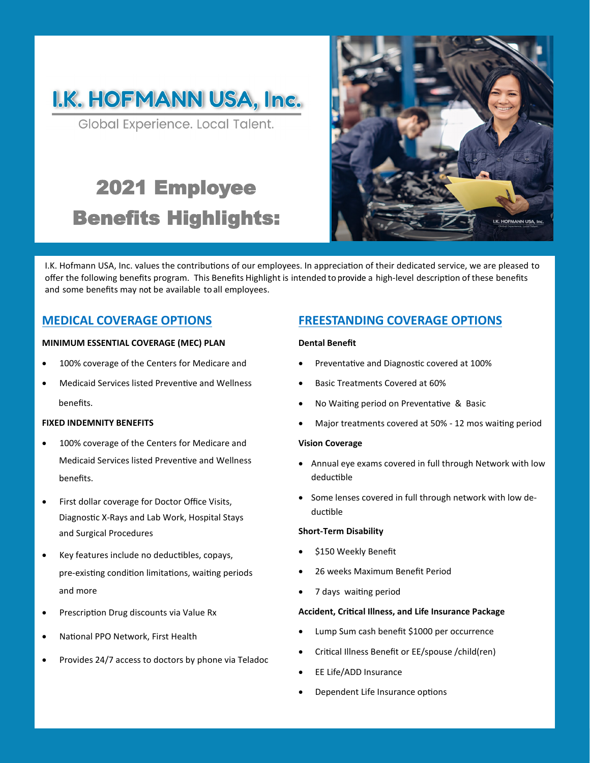

Global Experience. Local Talent.

# 2021 Employee Benefits Highlights:



I.K. Hofmann USA, Inc. values the contributions of our employees. In appreciation of their dedicated service, we are pleased to offer the following benefits program. This Benefits Highlight is intended to provide a high-level description of these benefits and some benefits may not be available to all employees.

### **MEDICAL COVERAGE OPTIONS**

### **MINIMUM ESSENTIAL COVERAGE (MEC) PLAN**

- 100% coverage of the Centers for Medicare and
- Medicaid Services listed Preventive and Wellness benefits.

### **FIXED INDEMNITY BENEFITS**

- 100% coverage of the Centers for Medicare and Medicaid Services listed Preventive and Wellness benefits.
- First dollar coverage for Doctor Office Visits, Diagnostic X-Rays and Lab Work, Hospital Stays and Surgical Procedures
- Key features include no deductibles, copays, pre-existing condition limitations, waiting periods and more
- Prescription Drug discounts via Value Rx
- National PPO Network, First Health
- Provides 24/7 access to doctors by phone via Teladoc

### **FREESTANDING COVERAGE OPTIONS**

#### **Dental Benefit**

- Preventative and Diagnostic covered at 100%
- Basic Treatments Covered at 60%
- No Waiting period on Preventative & Basic
- Major treatments covered at 50% 12 mos waiting period

#### **Vision Coverage**

- Annual eye exams covered in full through Network with low deductible
- Some lenses covered in full through network with low deductible

#### **Short-Term Disability**

- \$150 Weekly Benefit
- 26 weeks Maximum Benefit Period
- 7 days waiting period

#### **Accident, Critical Illness, and Life Insurance Package**

- Lump Sum cash benefit \$1000 per occurrence
- Critical Illness Benefit or EE/spouse /child(ren)
- EE Life/ADD Insurance
- Dependent Life Insurance options